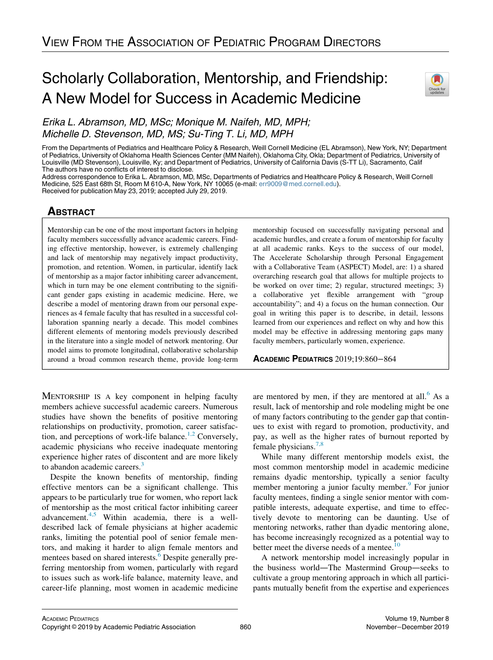## Scholarly Collaboration, Mentorship, and Friendship: A New Model for Success in Academic Medicine



Erika L. Abramson, MD, MSc; Monique M. Naifeh, MD, MPH; Michelle D. Stevenson, MD, MS; Su-Ting T. Li, MD, MPH

From the Departments of Pediatrics and Healthcare Policy & Research, Weill Cornell Medicine (EL Abramson), New York, NY; Department of Pediatrics, University of Oklahoma Health Sciences Center (MM Naifeh), Oklahoma City, Okla; Department of Pediatrics, University of Louisville (MD Stevenson), Louisville, Ky; and Department of Pediatrics, University of California Davis (S-TT Li), Sacramento, Calif The authors have no conflicts of interest to disclose.

Address correspondence to Erika L. Abramson, MD, MSc, Departments of Pediatrics and Healthcare Policy & Research, Weill Cornell Medicine, 525 East 68th St, Room M 610-A, New York, NY 10065 (e-mail: [err9009@med.cornell.edu\)](mailto:err9009@med.cornell.edu). Received for publication May 23, 2019; accepted July 29, 2019.

<u>ABSOLUTE 1999 - 1999 - 1999 - 1999 - 1999 - 1999 - 1999 - 1999 - 1999 - 1999 - 1999 - 1999 - 1999 - 1999 - 199</u> Mentorship can be one of the most important factors in helping faculty members successfully advance academic careers. Finding effective mentorship, however, is extremely challenging and lack of mentorship may negatively impact productivity, promotion, and retention. Women, in particular, identify lack of mentorship as a major factor inhibiting career advancement, which in turn may be one element contributing to the significant gender gaps existing in academic medicine. Here, we describe a model of mentoring drawn from our personal experiences as 4 female faculty that has resulted in a successful collaboration spanning nearly a decade. This model combines different elements of mentoring models previously described in the literature into a single model of network mentoring. Our model aims to promote longitudinal, collaborative scholarship around a broad common research theme, provide long-term

MENTORSHIP IS A key component in helping faculty members achieve successful academic careers. Numerous studies have shown the benefits of positive mentoring relationships on productivity, promotion, career satisfac-tion, and perceptions of work-life balance.<sup>[1,2](#page-4-0)</sup> Conversely, academic physicians who receive inadequate mentoring experience higher rates of discontent and are more likely to abandon academic careers.<sup>[3](#page-4-1)</sup>

Despite the known benefits of mentorship, finding effective mentors can be a significant challenge. This appears to be particularly true for women, who report lack of mentorship as the most critical factor inhibiting career advancement.[4,5](#page-4-2) Within academia, there is a welldescribed lack of female physicians at higher academic ranks, limiting the potential pool of senior female mentors, and making it harder to align female mentors and mentees based on shared interests.<sup>[6](#page-4-3)</sup> Despite generally preferring mentorship from women, particularly with regard to issues such as work-life balance, maternity leave, and career-life planning, most women in academic medicine

mentorship focused on successfully navigating personal and academic hurdles, and create a forum of mentorship for faculty at all academic ranks. Keys to the success of our model, The Accelerate Scholarship through Personal Engagement with a Collaborative Team (ASPECT) Model, are: 1) a shared overarching research goal that allows for multiple projects to be worked on over time; 2) regular, structured meetings; 3) a collaborative yet flexible arrangement with "group accountability"; and 4) a focus on the human connection. Our goal in writing this paper is to describe, in detail, lessons learned from our experiences and reflect on why and how this model may be effective in addressing mentoring gaps many faculty members, particularly women, experience.

ACADEMIC PEDIATRICS 2019;19:860−<sup>864</sup>

are mentored by men, if they are mentored at all. $<sup>6</sup>$  $<sup>6</sup>$  $<sup>6</sup>$  As a</sup> result, lack of mentorship and role modeling might be one of many factors contributing to the gender gap that continues to exist with regard to promotion, productivity, and pay, as well as the higher rates of burnout reported by female physicians.[7,8](#page-4-4)

While many different mentorship models exist, the most common mentorship model in academic medicine remains dyadic mentorship, typically a senior faculty member mentoring a junior faculty member.<sup>[9](#page-4-5)</sup> For junior faculty mentees, finding a single senior mentor with compatible interests, adequate expertise, and time to effectively devote to mentoring can be daunting. Use of mentoring networks, rather than dyadic mentoring alone, has become increasingly recognized as a potential way to better meet the diverse needs of a mentee.<sup>[10](#page-4-6)</sup>

A network mentorship model increasingly popular in the business world—The Mastermind Group—seeks to cultivate a group mentoring approach in which all participants mutually benefit from the expertise and experiences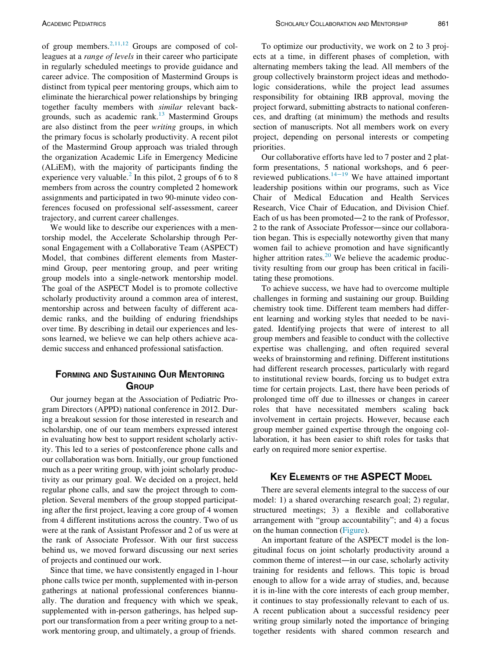of group members. $2,11,12$  Groups are composed of colleagues at a range of levels in their career who participate in regularly scheduled meetings to provide guidance and career advice. The composition of Mastermind Groups is distinct from typical peer mentoring groups, which aim to eliminate the hierarchical power relationships by bringing together faculty members with similar relevant backgrounds, such as academic rank.[13](#page-4-8) Mastermind Groups are also distinct from the peer writing groups, in which the primary focus is scholarly productivity. A recent pilot of the Mastermind Group approach was trialed through the organization Academic Life in Emergency Medicine (ALiEM), with the majority of participants finding the experience very valuable.<sup>[2](#page-4-7)</sup> In this pilot, 2 groups of 6 to 8 members from across the country completed 2 homework assignments and participated in two 90-minute video conferences focused on professional self-assessment, career trajectory, and current career challenges.

We would like to describe our experiences with a mentorship model, the Accelerate Scholarship through Personal Engagement with a Collaborative Team (ASPECT) Model, that combines different elements from Mastermind Group, peer mentoring group, and peer writing group models into a single-network mentorship model. The goal of the ASPECT Model is to promote collective scholarly productivity around a common area of interest, mentorship across and between faculty of different academic ranks, and the building of enduring friendships over time. By describing in detail our experiences and lessons learned, we believe we can help others achieve academic success and enhanced professional satisfaction.

# FORMING AND SUSTAINING OUR MENTORING<br>Group

GROUP Our journey began at the Association of Pediatric Program Directors (APPD) national conference in 2012. During a breakout session for those interested in research and scholarship, one of our team members expressed interest in evaluating how best to support resident scholarly activity. This led to a series of postconference phone calls and our collaboration was born. Initially, our group functioned much as a peer writing group, with joint scholarly productivity as our primary goal. We decided on a project, held regular phone calls, and saw the project through to completion. Several members of the group stopped participating after the first project, leaving a core group of 4 women from 4 different institutions across the country. Two of us were at the rank of Assistant Professor and 2 of us were at the rank of Associate Professor. With our first success behind us, we moved forward discussing our next series of projects and continued our work.

Since that time, we have consistently engaged in 1-hour phone calls twice per month, supplemented with in-person gatherings at national professional conferences biannually. The duration and frequency with which we speak, supplemented with in-person gatherings, has helped support our transformation from a peer writing group to a network mentoring group, and ultimately, a group of friends.

To optimize our productivity, we work on 2 to 3 projects at a time, in different phases of completion, with alternating members taking the lead. All members of the group collectively brainstorm project ideas and methodologic considerations, while the project lead assumes responsibility for obtaining IRB approval, moving the project forward, submitting abstracts to national conferences, and drafting (at minimum) the methods and results section of manuscripts. Not all members work on every project, depending on personal interests or competing priorities.

Our collaborative efforts have led to 7 poster and 2 platform presentations, 5 national workshops, and 6 peerreviewed publications. $14-19$  $14-19$  We have attained important leadership positions within our programs, such as Vice Chair of Medical Education and Health Services Research, Vice Chair of Education, and Division Chief. Each of us has been promoted—2 to the rank of Professor, 2 to the rank of Associate Professor—since our collaboration began. This is especially noteworthy given that many women fail to achieve promotion and have significantly higher attrition rates. $^{20}$  $^{20}$  $^{20}$  We believe the academic productivity resulting from our group has been critical in facilitating these promotions.

To achieve success, we have had to overcome multiple challenges in forming and sustaining our group. Building chemistry took time. Different team members had different learning and working styles that needed to be navigated. Identifying projects that were of interest to all group members and feasible to conduct with the collective expertise was challenging, and often required several weeks of brainstorming and refining. Different institutions had different research processes, particularly with regard to institutional review boards, forcing us to budget extra time for certain projects. Last, there have been periods of prolonged time off due to illnesses or changes in career roles that have necessitated members scaling back involvement in certain projects. However, because each group member gained expertise through the ongoing collaboration, it has been easier to shift roles for tasks that early on required more senior expertise.

There are several elements integral to the success of our model: 1) a shared overarching research goal; 2) regular, structured meetings; 3) a flexible and collaborative arrangement with "group accountability"; and 4) a focus on the human connection ([Figure\)](#page-2-0).

An important feature of the ASPECT model is the longitudinal focus on joint scholarly productivity around a common theme of interest—in our case, scholarly activity training for residents and fellows. This topic is broad enough to allow for a wide array of studies, and, because it is in-line with the core interests of each group member, it continues to stay professionally relevant to each of us. A recent publication about a successful residency peer writing group similarly noted the importance of bringing together residents with shared common research and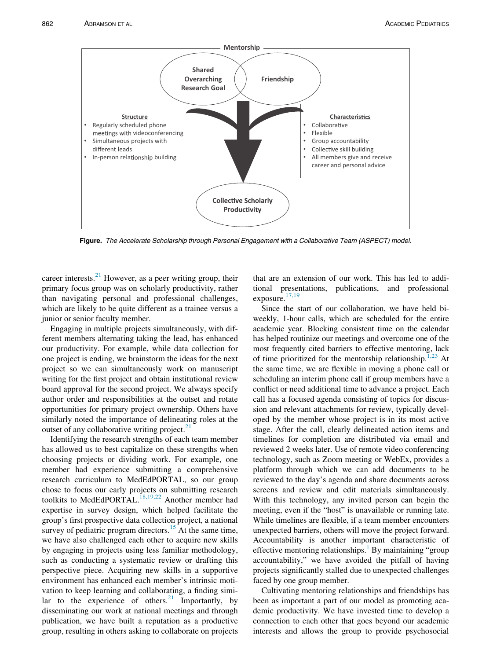<span id="page-2-0"></span>

Figure. The Accelerate Scholarship through Personal Engagement with a Collaborative Team (ASPECT) model.

career interests. $^{21}$  $^{21}$  $^{21}$  However, as a peer writing group, their primary focus group was on scholarly productivity, rather than navigating personal and professional challenges, which are likely to be quite different as a trainee versus a junior or senior faculty member.

Engaging in multiple projects simultaneously, with different members alternating taking the lead, has enhanced our productivity. For example, while data collection for one project is ending, we brainstorm the ideas for the next project so we can simultaneously work on manuscript writing for the first project and obtain institutional review board approval for the second project. We always specify author order and responsibilities at the outset and rotate opportunities for primary project ownership. Others have similarly noted the importance of delineating roles at the outset of any collaborative writing project. $21$ 

Identifying the research strengths of each team member has allowed us to best capitalize on these strengths when choosing projects or dividing work. For example, one member had experience submitting a comprehensive research curriculum to MedEdPORTAL, so our group chose to focus our early projects on submitting research toolkits to MedEdPORTAL.<sup>[18,19,22](#page-4-12)</sup> Another member had expertise in survey design, which helped facilitate the group's first prospective data collection project, a national survey of pediatric program directors.<sup>15</sup> At the same time, we have also challenged each other to acquire new skills by engaging in projects using less familiar methodology, such as conducting a systematic review or drafting this perspective piece. Acquiring new skills in a supportive environment has enhanced each member's intrinsic motivation to keep learning and collaborating, a finding simi-lar to the experience of others.<sup>[21](#page-4-11)</sup> Importantly, by disseminating our work at national meetings and through publication, we have built a reputation as a productive group, resulting in others asking to collaborate on projects that are an extension of our work. This has led to additional presentations, publications, and professional exposure. $17,19$ 

Since the start of our collaboration, we have held biweekly, 1-hour calls, which are scheduled for the entire academic year. Blocking consistent time on the calendar has helped routinize our meetings and overcome one of the most frequently cited barriers to effective mentoring, lack of time prioritized for the mentorship relationship.<sup>[1,23](#page-4-0)</sup> At the same time, we are flexible in moving a phone call or scheduling an interim phone call if group members have a conflict or need additional time to advance a project. Each call has a focused agenda consisting of topics for discussion and relevant attachments for review, typically developed by the member whose project is in its most active stage. After the call, clearly delineated action items and timelines for completion are distributed via email and reviewed 2 weeks later. Use of remote video conferencing technology, such as Zoom meeting or WebEx, provides a platform through which we can add documents to be reviewed to the day's agenda and share documents across screens and review and edit materials simultaneously. With this technology, any invited person can begin the meeting, even if the "host" is unavailable or running late. While timelines are flexible, if a team member encounters unexpected barriers, others will move the project forward. Accountability is another important characteristic of effective mentoring relationships.<sup>[1](#page-4-0)</sup> By maintaining "group" accountability," we have avoided the pitfall of having projects significantly stalled due to unexpected challenges faced by one group member.

Cultivating mentoring relationships and friendships has been as important a part of our model as promoting academic productivity. We have invested time to develop a connection to each other that goes beyond our academic interests and allows the group to provide psychosocial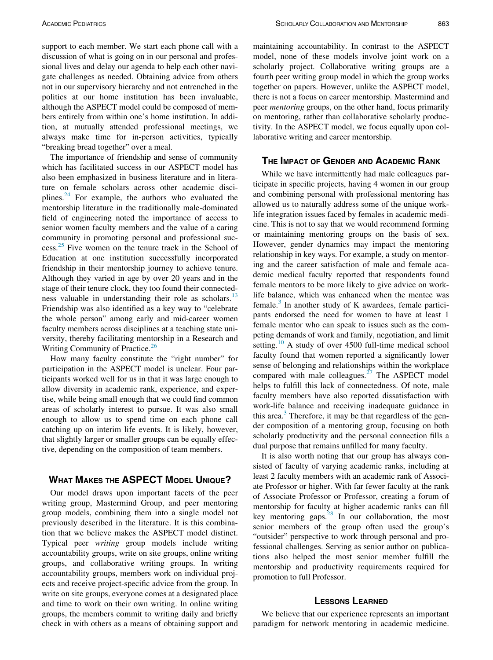support to each member. We start each phone call with a discussion of what is going on in our personal and professional lives and delay our agenda to help each other navigate challenges as needed. Obtaining advice from others not in our supervisory hierarchy and not entrenched in the politics at our home institution has been invaluable, although the ASPECT model could be composed of members entirely from within one's home institution. In addition, at mutually attended professional meetings, we always make time for in-person activities, typically "breaking bread together" over a meal.

The importance of friendship and sense of community which has facilitated success in our ASPECT model has also been emphasized in business literature and in literature on female scholars across other academic disciplines. $24$  For example, the authors who evaluated the mentorship literature in the traditionally male-dominated field of engineering noted the importance of access to senior women faculty members and the value of a caring community in promoting personal and professional suc- $cess.<sup>25</sup>$  $cess.<sup>25</sup>$  $cess.<sup>25</sup>$  Five women on the tenure track in the School of Education at one institution successfully incorporated friendship in their mentorship journey to achieve tenure. Although they varied in age by over 20 years and in the stage of their tenure clock, they too found their connected-ness valuable in understanding their role as scholars.<sup>[13](#page-4-8)</sup> Friendship was also identified as a key way to "celebrate the whole person" among early and mid-career women faculty members across disciplines at a teaching state university, thereby facilitating mentorship in a Research and Writing Community of Practice.<sup>[26](#page-4-17)</sup>

How many faculty constitute the "right number" for participation in the ASPECT model is unclear. Four participants worked well for us in that it was large enough to allow diversity in academic rank, experience, and expertise, while being small enough that we could find common areas of scholarly interest to pursue. It was also small enough to allow us to spend time on each phone call catching up on interim life events. It is likely, however, that slightly larger or smaller groups can be equally effective, depending on the composition of team members.

Our model draws upon important facets of the peer writing group, Mastermind Group, and peer mentoring group models, combining them into a single model not previously described in the literature. It is this combination that we believe makes the ASPECT model distinct. Typical peer writing group models include writing accountability groups, write on site groups, online writing groups, and collaborative writing groups. In writing accountability groups, members work on individual projects and receive project-specific advice from the group. In write on site groups, everyone comes at a designated place and time to work on their own writing. In online writing groups, the members commit to writing daily and briefly check in with others as a means of obtaining support and maintaining accountability. In contrast to the ASPECT model, none of these models involve joint work on a scholarly project. Collaborative writing groups are a fourth peer writing group model in which the group works together on papers. However, unlike the ASPECT model, there is not a focus on career mentorship. Mastermind and peer mentoring groups, on the other hand, focus primarily on mentoring, rather than collaborative scholarly productivity. In the ASPECT model, we focus equally upon collaborative writing and career mentorship.

### THE IMPACT OF GENDER AND ACADEMIC RANK

While we have intermittently had male colleagues participate in specific projects, having 4 women in our group and combining personal with professional mentoring has allowed us to naturally address some of the unique worklife integration issues faced by females in academic medicine. This is not to say that we would recommend forming or maintaining mentoring groups on the basis of sex. However, gender dynamics may impact the mentoring relationship in key ways. For example, a study on mentoring and the career satisfaction of male and female academic medical faculty reported that respondents found female mentors to be more likely to give advice on worklife balance, which was enhanced when the mentee was female.<sup>[3](#page-4-1)</sup> In another study of K awardees, female participants endorsed the need for women to have at least 1 female mentor who can speak to issues such as the competing demands of work and family, negotiation, and limit setting.<sup>[10](#page-4-6)</sup> A study of over 4500 full-time medical school faculty found that women reported a significantly lower sense of belonging and relationships within the workplace compared with male colleagues. $^{27}$  $^{27}$  $^{27}$  The ASPECT model helps to fulfill this lack of connectedness. Of note, male faculty members have also reported dissatisfaction with work-life balance and receiving inadequate guidance in this area.<sup>[3](#page-4-1)</sup> Therefore, it may be that regardless of the gender composition of a mentoring group, focusing on both scholarly productivity and the personal connection fills a dual purpose that remains unfilled for many faculty.

It is also worth noting that our group has always consisted of faculty of varying academic ranks, including at least 2 faculty members with an academic rank of Associate Professor or higher. With far fewer faculty at the rank of Associate Professor or Professor, creating a forum of mentorship for faculty at higher academic ranks can fill key mentoring gaps. $28$  In our collaboration, the most senior members of the group often used the group's "outsider" perspective to work through personal and professional challenges. Serving as senior author on publications also helped the most senior member fulfill the mentorship and productivity requirements required for promotion to full Professor.

We believe that our experience represents an important paradigm for network mentoring in academic medicine.